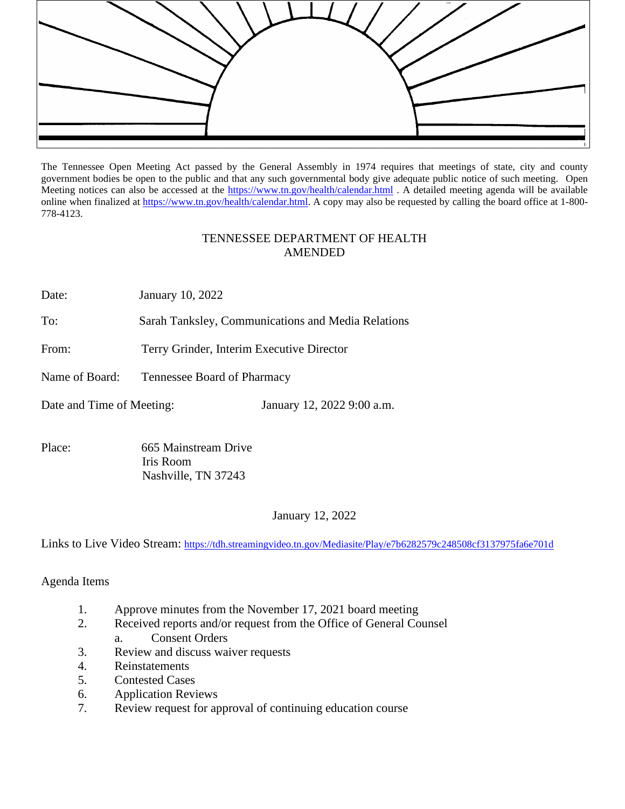

The Tennessee Open Meeting Act passed by the General Assembly in 1974 requires that meetings of state, city and county government bodies be open to the public and that any such governmental body give adequate public notice of such meeting. Open Meeting notices can also be accessed at the <https://www.tn.gov/health/calendar.html> . A detailed meeting agenda will be available online when finalized at [https://www.tn.gov/health/calendar.html.](https://www.tn.gov/health/calendar.html) A copy may also be requested by calling the board office at 1-800-778-4123.

## TENNESSEE DEPARTMENT OF HEALTH AMENDED

Date: January 10, 2022

To: Sarah Tanksley, Communications and Media Relations

From: Terry Grinder, Interim Executive Director

Name of Board: Tennessee Board of Pharmacy

Date and Time of Meeting: January 12, 2022 9:00 a.m.

Place: 665 Mainstream Drive Iris Room Nashville, TN 37243

January 12, 2022

Links to Live Video Stream:<https://tdh.streamingvideo.tn.gov/Mediasite/Play/e7b6282579c248508cf3137975fa6e701d>

Agenda Items

- 1. Approve minutes from the November 17, 2021 board meeting
- 2. Received reports and/or request from the Office of General Counsel
	- a. Consent Orders
- 3. Review and discuss waiver requests
- 4. Reinstatements
- 5. Contested Cases
- 6. Application Reviews
- 7. Review request for approval of continuing education course